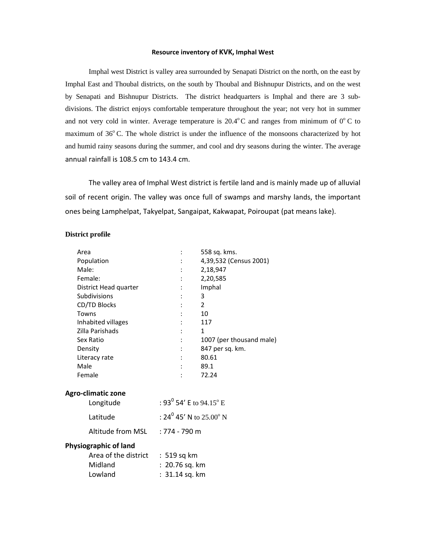#### **Resource inventory of KVK, Imphal West**

Imphal west District is valley area surrounded by Senapati District on the north, on the east by Imphal East and Thoubal districts, on the south by Thoubal and Bishnupur Districts, and on the west by Senapati and Bishnupur Districts. The district headquarters is Imphal and there are 3 subdivisions. The district enjoys comfortable temperature throughout the year; not very hot in summer and not very cold in winter. Average temperature is  $20.4^{\circ}$ C and ranges from minimum of  $0^{\circ}$ C to maximum of 36°C. The whole district is under the influence of the monsoons characterized by hot and humid rainy seasons during the summer, and cool and dry seasons during the winter. The average annual rainfall is 108.5 cm to 143.4 cm.

The valley area of Imphal West district is fertile land and is mainly made up of alluvial soil of recent origin. The valley was once full of swamps and marshy lands, the important ones being Lamphelpat, Takyelpat, Sangaipat, Kakwapat, Poiroupat (pat means lake).

#### **District profile**

| Area                             | 558 sq. kms.                                |
|----------------------------------|---------------------------------------------|
| Population                       | 4,39,532 (Census 2001)                      |
| Male:                            | 2,18,947                                    |
| Female:                          | 2,20,585                                    |
| District Head quarter            | Imphal                                      |
| Subdivisions                     | 3                                           |
| CD/TD Blocks                     | $\overline{2}$                              |
| Towns                            | 10                                          |
| Inhabited villages               | 117                                         |
| Zilla Parishads                  | $\mathbf{1}$                                |
| Sex Ratio                        | 1007 (per thousand male)                    |
| Density                          | 847 per sq. km.                             |
| Literacy rate                    | 80.61                                       |
| Male                             | 89.1                                        |
| Female                           | 72.24                                       |
| Agro-climatic zone               |                                             |
| Longitude                        | : 93 $^{\rm 0}$ 54' E to 94.15 $^{\rm o}$ E |
| Latitude                         | : 24 <sup>0</sup> 45' N to 25.00° N         |
| Altitude from MSL : 774 - 790 m  |                                             |
| Physiographic of land            |                                             |
| Area of the district : 519 sq km |                                             |
| Midland                          | $: 20.76$ sq. km                            |
| Lowland                          | $: 31.14$ sq. km                            |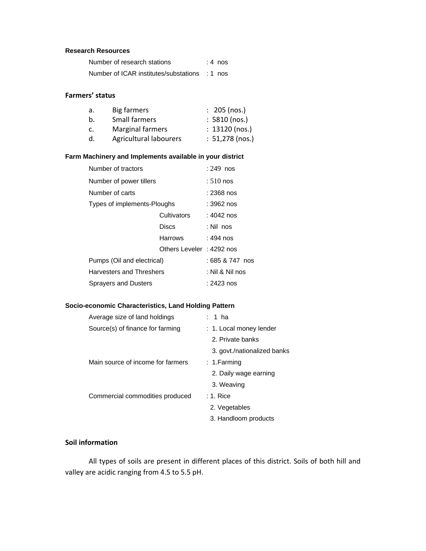### **Research Resources**

| Number of research stations                   | $: 4$ nos |
|-----------------------------------------------|-----------|
| Number of ICAR institutes/substations : 1 nos |           |

## **Farmers' status**

| а. | Big farmers             | $: 205$ (nos.)    |
|----|-------------------------|-------------------|
| b. | Small farmers           | $: 5810$ (nos.)   |
| c. | <b>Marginal farmers</b> | $: 13120$ (nos.)  |
| d. | Agricultural labourers  | $: 51,278$ (nos.) |

### **Farm Machinery and Implements available in your district**

| Number of tractors          | $: 249$ nos              |            |  |
|-----------------------------|--------------------------|------------|--|
| Number of power tillers     | $:510$ nos               |            |  |
| Number of carts             |                          | : 2368 nos |  |
| Types of implements-Ploughs | : 3962 nos               |            |  |
|                             | Cultivators              | : 4042 nos |  |
|                             | Discs                    | : Nil_nos  |  |
|                             | Harrows                  | : 494 nos  |  |
|                             | Others Leveler: 4292 nos |            |  |
| Pumps (Oil and electrical)  | : 685 & 747 nos          |            |  |
| Harvesters and Threshers    | : Nil & Nil nos          |            |  |
| Sprayers and Dusters        | : 2423 nos               |            |  |

### **Socio-economic Characteristics, Land Holding Pattern**

| Average size of land holdings     | 1 ha                        |
|-----------------------------------|-----------------------------|
| Source(s) of finance for farming  | : 1. Local money lender     |
|                                   | 2. Private banks            |
|                                   | 3. govt./nationalized banks |
| Main source of income for farmers | :1.Farming                  |
|                                   | 2. Daily wage earning       |
|                                   | 3. Weaving                  |
| Commercial commodities produced   | $: 1.$ Rice                 |
|                                   | 2. Vegetables               |
|                                   | 3. Handloom products        |

# **Soil information**

All types of soils are present in different places of this district. Soils of both hill and valley are acidic ranging from 4.5 to 5.5 pH.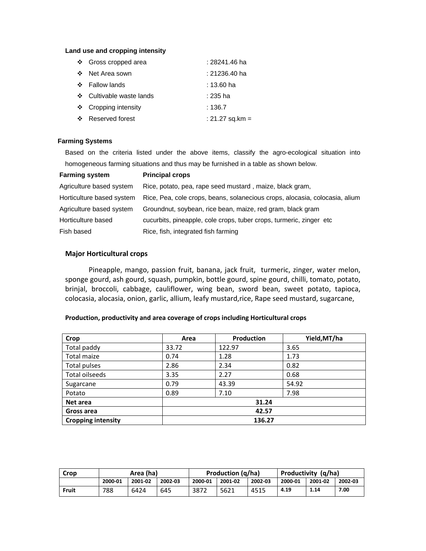#### **Land use and cropping intensity**

|           | ❖ Gross cropped area     | : 28241.46 ha   |
|-----------|--------------------------|-----------------|
|           | ❖ Net Area sown          | : 21236.40 ha   |
|           | ❖ Fallow lands           | : 13.60 ha      |
|           | ❖ Cultivable waste lands | : 235 ha        |
|           | ❖ Cropping intensity     | : 136.7         |
| <b>交易</b> | Reserved forest          | : 21.27 sq.km = |

#### **Farming Systems**

Based on the criteria listed under the above items, classify the agro-ecological situation into homogeneous farming situations and thus may be furnished in a table as shown below.

| <b>Farming system</b>     | <b>Principal crops</b>                                                      |
|---------------------------|-----------------------------------------------------------------------------|
| Agriculture based system  | Rice, potato, pea, rape seed mustard, maize, black gram,                    |
| Horticulture based system | Rice, Pea, cole crops, beans, solanecious crops, alocasia, colocasia, alium |
| Agriculture based system  | Groundnut, soybean, rice bean, maize, red gram, black gram                  |
| Horticulture based        | cucurbits, pineapple, cole crops, tuber crops, turmeric, zinger etc.        |
| Fish based                | Rice, fish, integrated fish farming                                         |

#### **Major Horticultural crops**

Pineapple, mango, passion fruit, banana, jack fruit, turmeric, zinger, water melon, sponge gourd, ash gourd, squash, pumpkin, bottle gourd, spine gourd, chilli, tomato, potato, brinjal, broccoli, cabbage, cauliflower, wing bean, sword bean, sweet potato, tapioca, colocasia, alocasia, onion, garlic, allium, leafy mustard,rice, Rape seed mustard, sugarcane,

| Crop                      | Area   | <b>Production</b> | Yield, MT/ha |  |
|---------------------------|--------|-------------------|--------------|--|
| Total paddy               | 33.72  | 122.97            | 3.65         |  |
| <b>Total maize</b>        | 0.74   | 1.28              | 1.73         |  |
| Total pulses              | 2.86   | 2.34              | 0.82         |  |
| Total oilseeds            | 3.35   | 2.27              | 0.68         |  |
| Sugarcane                 | 0.79   | 43.39             | 54.92        |  |
| Potato                    | 0.89   | 7.10              | 7.98         |  |
| Net area                  |        | 31.24             |              |  |
| Gross area                | 42.57  |                   |              |  |
| <b>Cropping intensity</b> | 136.27 |                   |              |  |

#### **Production, productivity and area coverage of crops including Horticultural crops**

| Crop  | Area (ha) |         |         | <b>Production (g/ha)</b> |         |         | Productivity (g/ha) |         |         |
|-------|-----------|---------|---------|--------------------------|---------|---------|---------------------|---------|---------|
|       | 2000-01   | 2001-02 | 2002-03 | 2000-01                  | 2001-02 | 2002-03 | 2000-01             | 2001-02 | 2002-03 |
| Fruit | 788       | 6424    | 645     | 3872                     | 5621    | 4515    | 4.19                | 1.14    | 7.00    |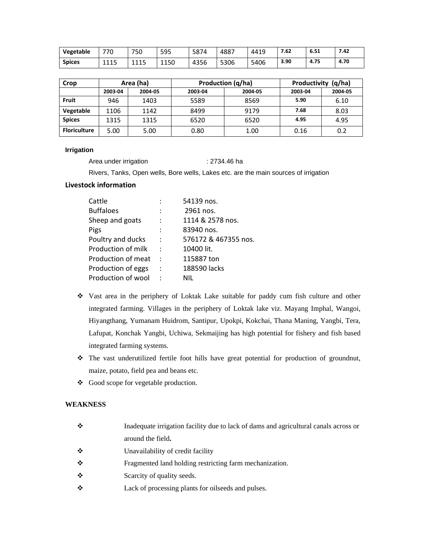| Vegetable     | 770  | 750  | 595  | 5874 | 4887 | 4419 | 7.62 | 6.51 | 7.42 |
|---------------|------|------|------|------|------|------|------|------|------|
| <b>Spices</b> | 1115 | 1115 | 1150 | 4356 | 5306 | 5406 | 3.90 | 4.75 | 4.70 |

| Crop                |         | Area (ha) |         | Production (q/ha) | (q/ha)<br>Productivity |         |  |
|---------------------|---------|-----------|---------|-------------------|------------------------|---------|--|
|                     | 2003-04 | 2004-05   | 2003-04 | 2004-05           | 2003-04                | 2004-05 |  |
| Fruit               | 946     | 1403      | 5589    | 8569              | 5.90                   | 6.10    |  |
| Vegetable           | 1106    | 1142      | 8499    | 9179              | 7.68                   | 8.03    |  |
| <b>Spices</b>       | 1315    | 1315      | 6520    | 6520              | 4.95                   | 4.95    |  |
| <b>Floriculture</b> | 5.00    | 5.00      | 0.80    | 1.00              | 0.16                   | 0.2     |  |

### **Irrigation**

Area under irrigation : 2734.46 ha

Rivers, Tanks, Open wells, Bore wells, Lakes etc. are the main sources of irrigation

## **Livestock information**

| Cattle             |                      | 54139 nos.           |
|--------------------|----------------------|----------------------|
| <b>Buffaloes</b>   | $\ddot{\cdot}$       | 2961 nos.            |
| Sheep and goats    | $\ddot{\cdot}$       | 1114 & 2578 nos.     |
| Pigs               |                      | 83940 nos.           |
| Poultry and ducks  | $\ddot{\cdot}$       | 576172 & 467355 nos. |
| Production of milk | $\ddot{\phantom{a}}$ | 10400 lit.           |
| Production of meat | $\cdot$              | 115887 ton           |
| Production of eggs | $\ddot{\cdot}$       | 188590 lacks         |
| Production of wool | $\cdot$              | NIL                  |

- Vast area in the periphery of Loktak Lake suitable for paddy cum fish culture and other integrated farming. Villages in the periphery of Loktak lake viz. Mayang Imphal, Wangoi, Hiyangthang, Yumanam Huidrom, Santipur, Upokpi, Kokchai, Thana Maning, Yangbi, Tera, Lafupat, Konchak Yangbi, Uchiwa, Sekmaijing has high potential for fishery and fish based integrated farming systems.
- \* The vast underutilized fertile foot hills have great potential for production of groundnut, maize, potato, field pea and beans etc.
- Good scope for vegetable production.

### **WEAKNESS**

| ❖ | Inadequate irrigation facility due to lack of dams and agricultural canals across or |
|---|--------------------------------------------------------------------------------------|
|   | around the field.                                                                    |
| ❖ | Unavailability of credit facility                                                    |
| ❖ | Fragmented land holding restricting farm mechanization.                              |
| ❖ | Scarcity of quality seeds.                                                           |
| ❖ | Lack of processing plants for oilseeds and pulses.                                   |